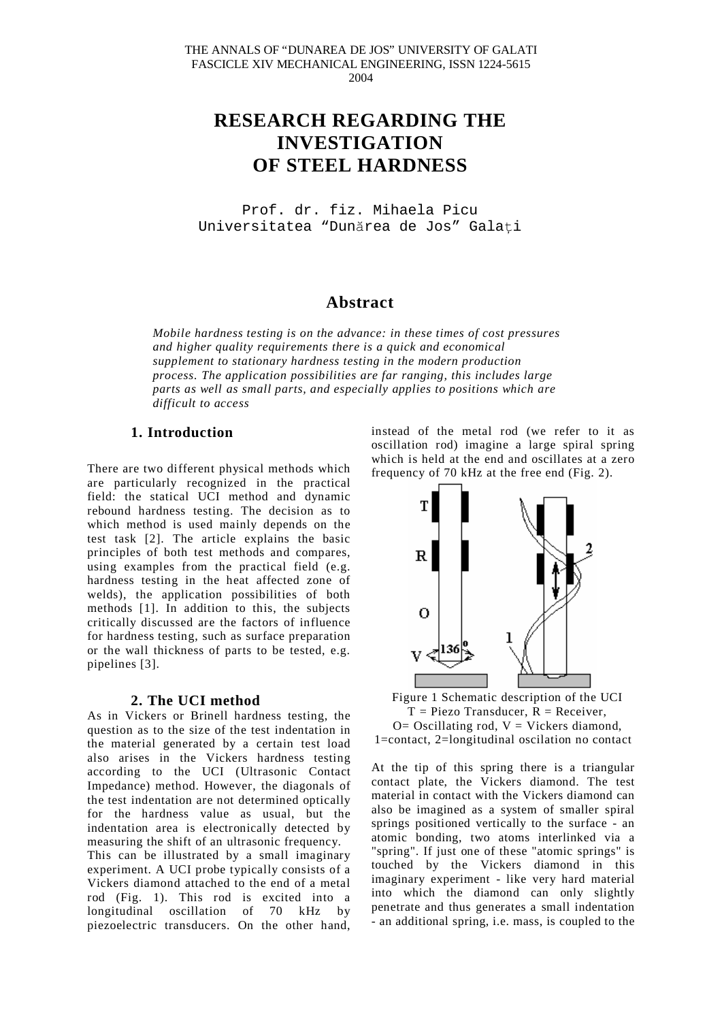# **RESEARCH REGARDING THE INVESTIGATION OF STEEL HARDNESS**

Prof. dr. fiz. Mihaela Picu Universitatea "Dunărea de Jos" Galati

# **Abstract**

*Mobile hardness testing is on the advance: in these times of cost pressures and higher quality requirements there is a quick and economical supplement to stationary hardness testing in the modern production process. The application possibilities are far ranging, this includes large parts as well as small parts, and especially applies to positions which are difficult to access*

## **1. Introduction**

There are two different physical methods which are particularly recognized in the practical field: the statical UCI method and dynamic rebound hardness testing. The decision as to which method is used mainly depends on the test task [2]. The article explains the basic principles of both test methods and compares, using examples from the practical field (e.g. hardness testing in the heat affected zone of welds), the application possibilities of both methods [1]. In addition to this, the subjects critically discussed are the factors of influence for hardness testing, such as surface preparation or the wall thickness of parts to be tested, e.g. pipelines [3].

## **2. The UCI method**

As in Vickers or Brinell hardness testing, the question as to the size of the test indentation in the material generated by a certain test load also arises in the Vickers hardness testing according to the UCI (Ultrasonic Contact Impedance) method. However, the diagonals of the test indentation are not determined optically for the hardness value as usual, but the indentation area is electronically detected by measuring the shift of an ultrasonic frequency. This can be illustrated by a small imaginary experiment. A UCI probe typically consists of a Vickers diamond attached to the end of a metal rod (Fig. 1). This rod is excited into a longitudinal oscillation of 70 kHz by piezoelectric transducers. On the other hand,

instead of the metal rod (we refer to it as oscillation rod) imagine a large spiral spring which is held at the end and oscillates at a zero frequency of 70 kHz at the free end (Fig. 2).



Figure 1 Schematic description of the UCI  $T = Piezo Transducer, R = Receiver.$  $O=$  Oscillating rod,  $V =$  Vickers diamond, 1=contact, 2=longitudinal oscilation no contact

At the tip of this spring there is a triangular contact plate, the Vickers diamond. The test material in contact with the Vickers diamond can also be imagined as a system of smaller spiral springs positioned vertically to the surface - an atomic bonding, two atoms interlinked via a "spring". If just one of these "atomic springs" is touched by the Vickers diamond in this imaginary experiment - like very hard material into which the diamond can only slightly penetrate and thus generates a small indentation - an additional spring, i.e. mass, is coupled to the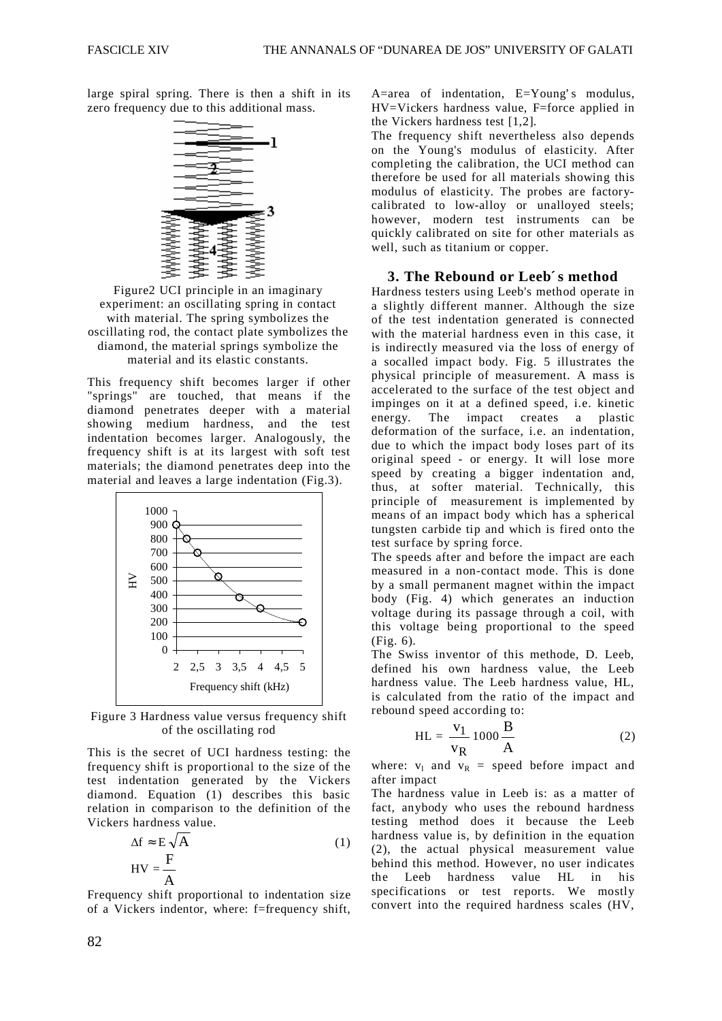large spiral spring. There is then a shift in its zero frequency due to this additional mass.



Figure2 UCI principle in an imaginary experiment: an oscillating spring in contact with material. The spring symbolizes the oscillating rod, the contact plate symbolizes the diamond, the material springs symbolize the material and its elastic constants.

This frequency shift becomes larger if other "springs" are touched, that means if the diamond penetrates deeper with a material showing medium hardness, and the test indentation becomes larger. Analogously, the frequency shift is at its largest with soft test materials; the diamond penetrates deep into the material and leaves a large indentation (Fig.3).



Figure 3 Hardness value versus frequency shift of the oscillating rod

This is the secret of UCI hardness testing: the frequency shift is proportional to the size of the test indentation generated by the Vickers diamond. Equation (1) describes this basic relation in comparison to the definition of the Vickers hardness value.

$$
\Delta f \approx E \sqrt{A}
$$
  
HV =  $\frac{F}{A}$  (1)

Frequency shift proportional to indentation size of a Vickers indentor, where: f=frequency shift,

A=area of indentation, E=Young's modulus, HV=Vickers hardness value, F=force applied in the Vickers hardness test [1,2].

The frequency shift nevertheless also depends on the Young's modulus of elasticity. After completing the calibration, the UCI method can therefore be used for all materials showing this modulus of elasticity. The probes are factorycalibrated to low-alloy or unalloyed steels; however, modern test instruments can be quickly calibrated on site for other materials as well, such as titanium or copper.

### **3. The Rebound or Leeb´ s method**

Hardness testers using Leeb's method operate in a slightly different manner. Although the size of the test indentation generated is connected with the material hardness even in this case, it is indirectly measured via the loss of energy of a socalled impact body. Fig. 5 illustrates the physical principle of measurement. A mass is accelerated to the surface of the test object and impinges on it at a defined speed, i.e. kinetic energy. The impact creates a plastic deformation of the surface, i.e. an indentation, due to which the impact body loses part of its original speed - or energy. It will lose more speed by creating a bigger indentation and, thus, at softer material. Technically, this principle of measurement is implemented by means of an impact body which has a spherical tungsten carbide tip and which is fired onto the test surface by spring force.

The speeds after and before the impact are each measured in a non-contact mode. This is done by a small permanent magnet within the impact body (Fig. 4) which generates an induction voltage during its passage through a coil, with this voltage being proportional to the speed (Fig. 6).

The Swiss inventor of this methode, D. Leeb, defined his own hardness value, the Leeb hardness value. The Leeb hardness value, HL, is calculated from the ratio of the impact and rebound speed according to:

$$
HL = \frac{v_1}{v_R} 1000 \frac{B}{A}
$$
 (2)

where:  $v_1$  and  $v_R$  = speed before impact and after impact

The hardness value in Leeb is: as a matter of fact, anybody who uses the rebound hardness testing method does it because the Leeb hardness value is, by definition in the equation (2), the actual physical measurement value behind this method. However, no user indicates the Leeb hardness value HL in his specifications or test reports. We mostly convert into the required hardness scales (HV,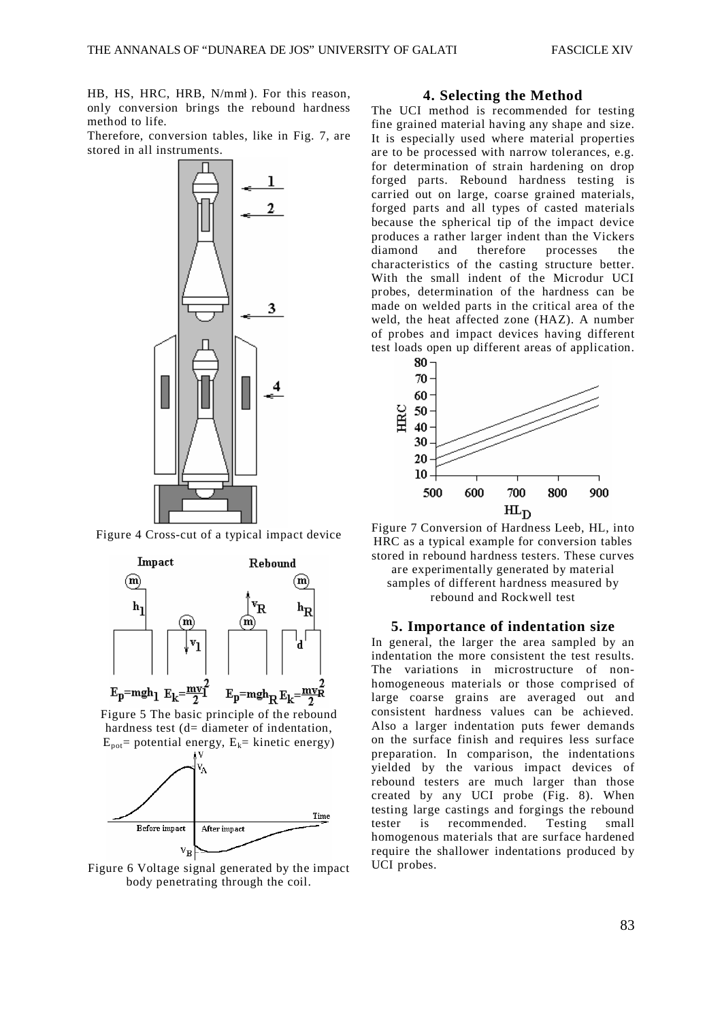HB, HS, HRC, HRB, N/mml). For this reason, only conversion brings the rebound hardness method to life.

Therefore, conversion tables, like in Fig. 7, are stored in all instruments.



Figure 4 Cross-cut of a typical impact device



Figure 6 Voltage signal generated by the impact body penetrating through the coil.

#### **4. Selecting the Method**

The UCI method is recommended for testing fine grained material having any shape and size. It is especially used where material properties are to be processed with narrow tolerances, e.g. for determination of strain hardening on drop forged parts. Rebound hardness testing is carried out on large, coarse grained materials, forged parts and all types of casted materials because the spherical tip of the impact device produces a rather larger indent than the Vickers diamond and therefore processes the characteristics of the casting structure better. With the small indent of the Microdur UCI probes, determination of the hardness can be made on welded parts in the critical area of the weld, the heat affected zone (HAZ). A number of probes and impact devices having different test loads open up different areas of application.



Figure 7 Conversion of Hardness Leeb, HL, into HRC as a typical example for conversion tables stored in rebound hardness testers. These curves are experimentally generated by material samples of different hardness measured by rebound and Rockwell test

## **5. Importance of indentation size**

In general, the larger the area sampled by an indentation the more consistent the test results. The variations in microstructure of nonhomogeneous materials or those comprised of large coarse grains are averaged out and consistent hardness values can be achieved. Also a larger indentation puts fewer demands on the surface finish and requires less surface preparation. In comparison, the indentations yielded by the various impact devices of rebound testers are much larger than those created by any UCI probe (Fig. 8). When testing large castings and forgings the rebound tester is recommended. Testing small homogenous materials that are surface hardened require the shallower indentations produced by UCI probes.